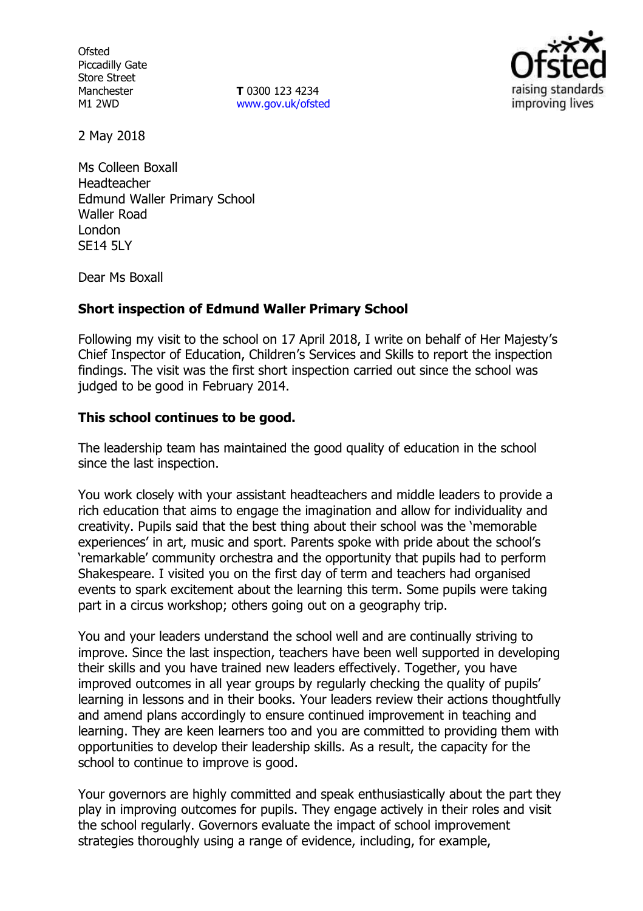**Ofsted** Piccadilly Gate Store Street Manchester M1 2WD

**T** 0300 123 4234 [www.gov.uk/ofsted](http://www.gov.uk/ofsted)



2 May 2018

Ms Colleen Boxall Headteacher Edmund Waller Primary School Waller Road London **SF14 5LY** 

Dear Ms Boxall

### **Short inspection of Edmund Waller Primary School**

Following my visit to the school on 17 April 2018, I write on behalf of Her Majesty's Chief Inspector of Education, Children's Services and Skills to report the inspection findings. The visit was the first short inspection carried out since the school was judged to be good in February 2014.

### **This school continues to be good.**

The leadership team has maintained the good quality of education in the school since the last inspection.

You work closely with your assistant headteachers and middle leaders to provide a rich education that aims to engage the imagination and allow for individuality and creativity. Pupils said that the best thing about their school was the 'memorable experiences' in art, music and sport. Parents spoke with pride about the school's 'remarkable' community orchestra and the opportunity that pupils had to perform Shakespeare. I visited you on the first day of term and teachers had organised events to spark excitement about the learning this term. Some pupils were taking part in a circus workshop; others going out on a geography trip.

You and your leaders understand the school well and are continually striving to improve. Since the last inspection, teachers have been well supported in developing their skills and you have trained new leaders effectively. Together, you have improved outcomes in all year groups by regularly checking the quality of pupils' learning in lessons and in their books. Your leaders review their actions thoughtfully and amend plans accordingly to ensure continued improvement in teaching and learning. They are keen learners too and you are committed to providing them with opportunities to develop their leadership skills. As a result, the capacity for the school to continue to improve is good.

Your governors are highly committed and speak enthusiastically about the part they play in improving outcomes for pupils. They engage actively in their roles and visit the school regularly. Governors evaluate the impact of school improvement strategies thoroughly using a range of evidence, including, for example,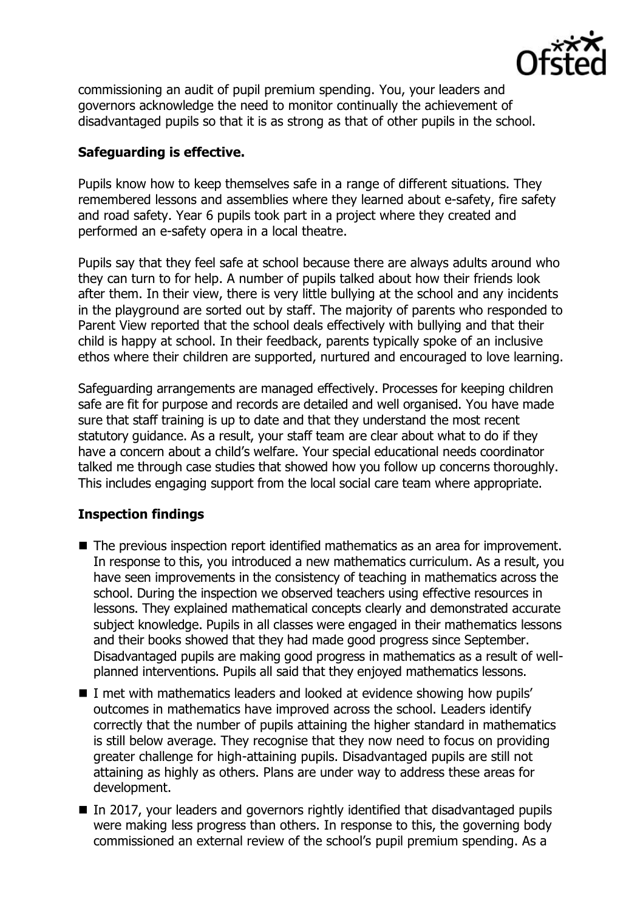

commissioning an audit of pupil premium spending. You, your leaders and governors acknowledge the need to monitor continually the achievement of disadvantaged pupils so that it is as strong as that of other pupils in the school.

# **Safeguarding is effective.**

Pupils know how to keep themselves safe in a range of different situations. They remembered lessons and assemblies where they learned about e-safety, fire safety and road safety. Year 6 pupils took part in a project where they created and performed an e-safety opera in a local theatre.

Pupils say that they feel safe at school because there are always adults around who they can turn to for help. A number of pupils talked about how their friends look after them. In their view, there is very little bullying at the school and any incidents in the playground are sorted out by staff. The majority of parents who responded to Parent View reported that the school deals effectively with bullying and that their child is happy at school. In their feedback, parents typically spoke of an inclusive ethos where their children are supported, nurtured and encouraged to love learning.

Safeguarding arrangements are managed effectively. Processes for keeping children safe are fit for purpose and records are detailed and well organised. You have made sure that staff training is up to date and that they understand the most recent statutory guidance. As a result, your staff team are clear about what to do if they have a concern about a child's welfare. Your special educational needs coordinator talked me through case studies that showed how you follow up concerns thoroughly. This includes engaging support from the local social care team where appropriate.

### **Inspection findings**

- The previous inspection report identified mathematics as an area for improvement. In response to this, you introduced a new mathematics curriculum. As a result, you have seen improvements in the consistency of teaching in mathematics across the school. During the inspection we observed teachers using effective resources in lessons. They explained mathematical concepts clearly and demonstrated accurate subject knowledge. Pupils in all classes were engaged in their mathematics lessons and their books showed that they had made good progress since September. Disadvantaged pupils are making good progress in mathematics as a result of wellplanned interventions. Pupils all said that they enjoyed mathematics lessons.
- I met with mathematics leaders and looked at evidence showing how pupils' outcomes in mathematics have improved across the school. Leaders identify correctly that the number of pupils attaining the higher standard in mathematics is still below average. They recognise that they now need to focus on providing greater challenge for high-attaining pupils. Disadvantaged pupils are still not attaining as highly as others. Plans are under way to address these areas for development.
- In 2017, your leaders and governors rightly identified that disadvantaged pupils were making less progress than others. In response to this, the governing body commissioned an external review of the school's pupil premium spending. As a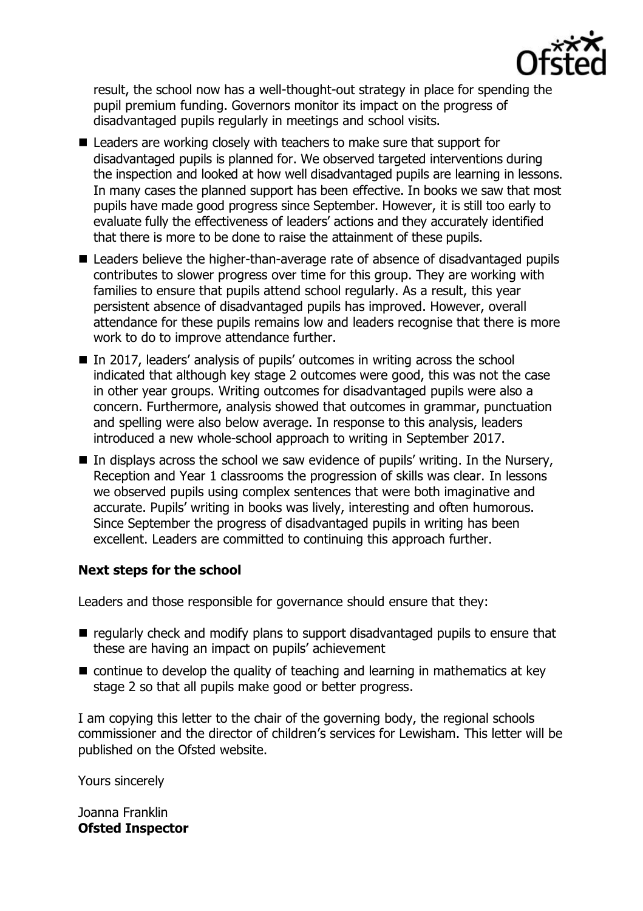

result, the school now has a well-thought-out strategy in place for spending the pupil premium funding. Governors monitor its impact on the progress of disadvantaged pupils regularly in meetings and school visits.

- Leaders are working closely with teachers to make sure that support for disadvantaged pupils is planned for. We observed targeted interventions during the inspection and looked at how well disadvantaged pupils are learning in lessons. In many cases the planned support has been effective. In books we saw that most pupils have made good progress since September. However, it is still too early to evaluate fully the effectiveness of leaders' actions and they accurately identified that there is more to be done to raise the attainment of these pupils.
- Leaders believe the higher-than-average rate of absence of disadvantaged pupils contributes to slower progress over time for this group. They are working with families to ensure that pupils attend school regularly. As a result, this year persistent absence of disadvantaged pupils has improved. However, overall attendance for these pupils remains low and leaders recognise that there is more work to do to improve attendance further.
- In 2017, leaders' analysis of pupils' outcomes in writing across the school indicated that although key stage 2 outcomes were good, this was not the case in other year groups. Writing outcomes for disadvantaged pupils were also a concern. Furthermore, analysis showed that outcomes in grammar, punctuation and spelling were also below average. In response to this analysis, leaders introduced a new whole-school approach to writing in September 2017.
- In displays across the school we saw evidence of pupils' writing. In the Nursery, Reception and Year 1 classrooms the progression of skills was clear. In lessons we observed pupils using complex sentences that were both imaginative and accurate. Pupils' writing in books was lively, interesting and often humorous. Since September the progress of disadvantaged pupils in writing has been excellent. Leaders are committed to continuing this approach further.

### **Next steps for the school**

Leaders and those responsible for governance should ensure that they:

- regularly check and modify plans to support disadvantaged pupils to ensure that these are having an impact on pupils' achievement
- continue to develop the quality of teaching and learning in mathematics at key stage 2 so that all pupils make good or better progress.

I am copying this letter to the chair of the governing body, the regional schools commissioner and the director of children's services for Lewisham. This letter will be published on the Ofsted website.

Yours sincerely

Joanna Franklin **Ofsted Inspector**